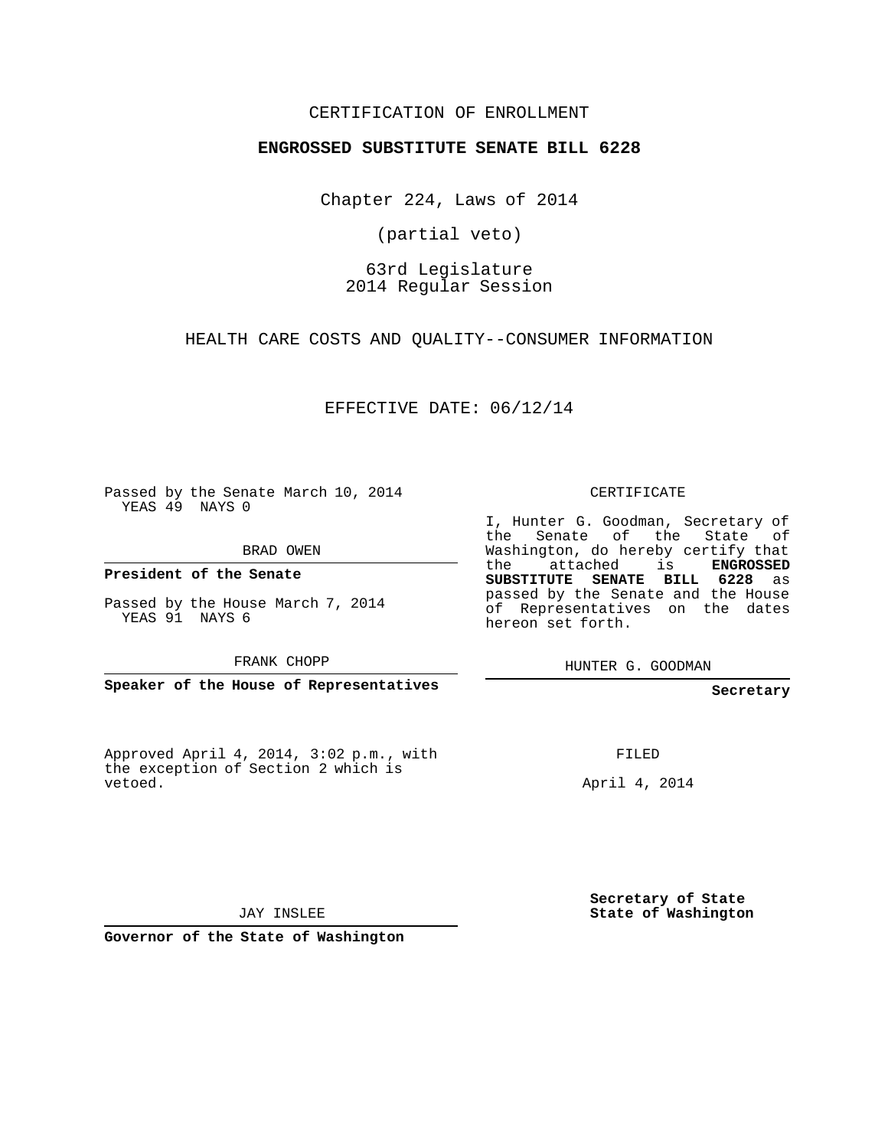## CERTIFICATION OF ENROLLMENT

#### **ENGROSSED SUBSTITUTE SENATE BILL 6228**

Chapter 224, Laws of 2014

(partial veto)

## 63rd Legislature 2014 Regular Session

HEALTH CARE COSTS AND QUALITY--CONSUMER INFORMATION

EFFECTIVE DATE: 06/12/14

Passed by the Senate March 10, 2014 YEAS 49 NAYS 0

BRAD OWEN

**President of the Senate**

Passed by the House March 7, 2014 YEAS 91 NAYS 6

FRANK CHOPP

**Speaker of the House of Representatives**

Approved April 4, 2014, 3:02 p.m., with the exception of Section 2 which is vetoed.

CERTIFICATE

I, Hunter G. Goodman, Secretary of the Senate of the State of Washington, do hereby certify that the attached is **ENGROSSED SUBSTITUTE SENATE BILL 6228** as passed by the Senate and the House of Representatives on the dates hereon set forth.

HUNTER G. GOODMAN

**Secretary**

FILED

April 4, 2014

**Secretary of State State of Washington**

JAY INSLEE

**Governor of the State of Washington**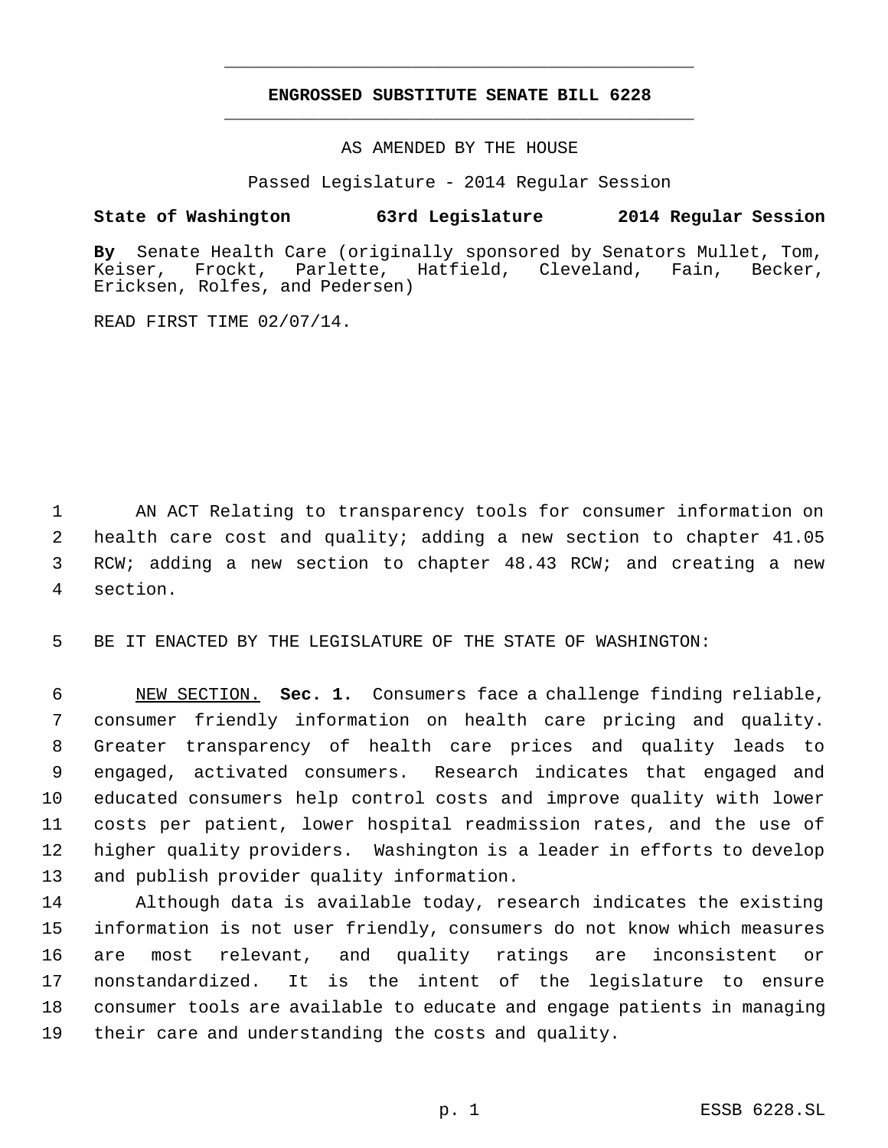# **ENGROSSED SUBSTITUTE SENATE BILL 6228** \_\_\_\_\_\_\_\_\_\_\_\_\_\_\_\_\_\_\_\_\_\_\_\_\_\_\_\_\_\_\_\_\_\_\_\_\_\_\_\_\_\_\_\_\_

\_\_\_\_\_\_\_\_\_\_\_\_\_\_\_\_\_\_\_\_\_\_\_\_\_\_\_\_\_\_\_\_\_\_\_\_\_\_\_\_\_\_\_\_\_

AS AMENDED BY THE HOUSE

Passed Legislature - 2014 Regular Session

## **State of Washington 63rd Legislature 2014 Regular Session**

**By** Senate Health Care (originally sponsored by Senators Mullet, Tom, Keiser, Frockt, Parlette, Hatfield, Cleveland, Fain, Becker, Ericksen, Rolfes, and Pedersen)

READ FIRST TIME 02/07/14.

 AN ACT Relating to transparency tools for consumer information on health care cost and quality; adding a new section to chapter 41.05 3 RCW; adding a new section to chapter 48.43 RCW; and creating a new section.

5 BE IT ENACTED BY THE LEGISLATURE OF THE STATE OF WASHINGTON:

 NEW SECTION. **Sec. 1.** Consumers face a challenge finding reliable, consumer friendly information on health care pricing and quality. Greater transparency of health care prices and quality leads to engaged, activated consumers. Research indicates that engaged and educated consumers help control costs and improve quality with lower costs per patient, lower hospital readmission rates, and the use of higher quality providers. Washington is a leader in efforts to develop and publish provider quality information.

 Although data is available today, research indicates the existing information is not user friendly, consumers do not know which measures are most relevant, and quality ratings are inconsistent or nonstandardized. It is the intent of the legislature to ensure consumer tools are available to educate and engage patients in managing their care and understanding the costs and quality.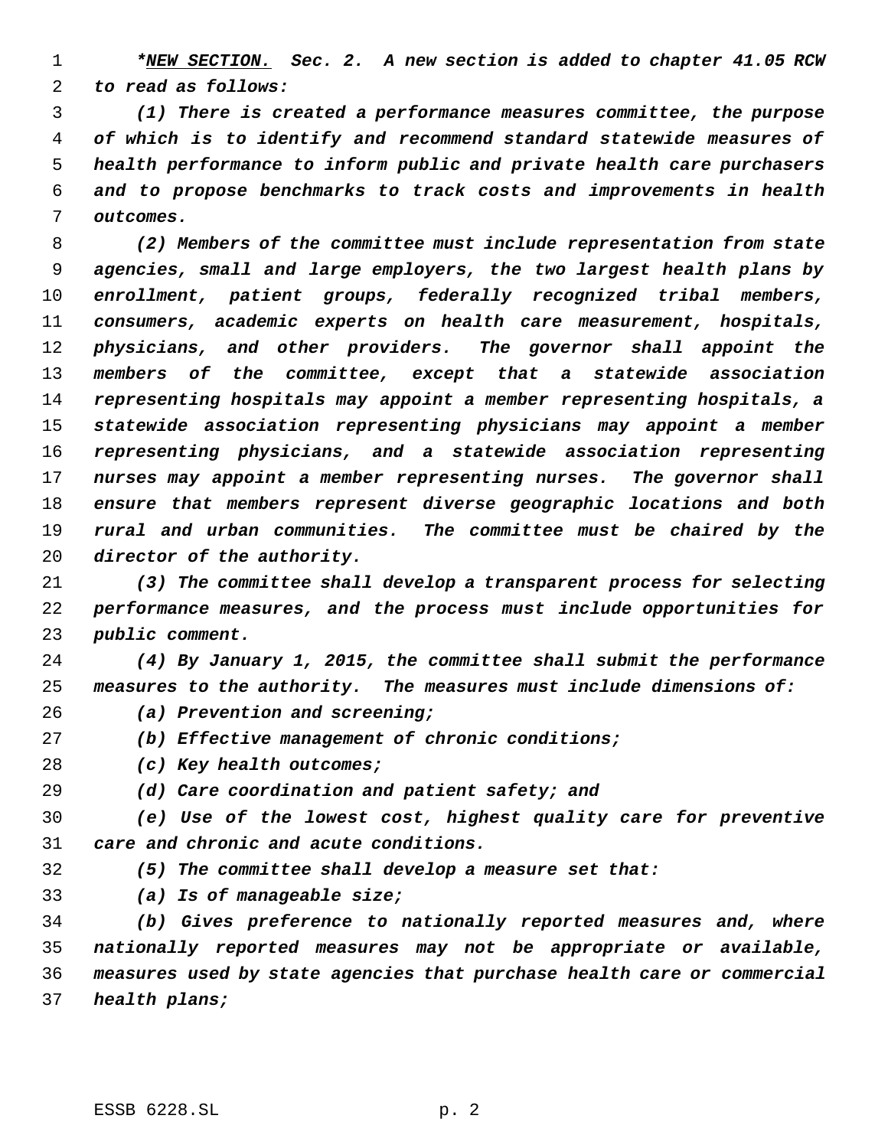*\*NEW SECTION. Sec. 2. A new section is added to chapter 41.05 RCW to read as follows:*

 *(1) There is created a performance measures committee, the purpose of which is to identify and recommend standard statewide measures of health performance to inform public and private health care purchasers and to propose benchmarks to track costs and improvements in health outcomes.*

 *(2) Members of the committee must include representation from state agencies, small and large employers, the two largest health plans by enrollment, patient groups, federally recognized tribal members, consumers, academic experts on health care measurement, hospitals, physicians, and other providers. The governor shall appoint the members of the committee, except that a statewide association representing hospitals may appoint a member representing hospitals, a statewide association representing physicians may appoint a member representing physicians, and a statewide association representing nurses may appoint a member representing nurses. The governor shall ensure that members represent diverse geographic locations and both rural and urban communities. The committee must be chaired by the director of the authority.*

 *(3) The committee shall develop a transparent process for selecting performance measures, and the process must include opportunities for public comment.*

 *(4) By January 1, 2015, the committee shall submit the performance measures to the authority. The measures must include dimensions of:*

- *(a) Prevention and screening;*
- *(b) Effective management of chronic conditions;*
- *(c) Key health outcomes;*
- *(d) Care coordination and patient safety; and*

 *(e) Use of the lowest cost, highest quality care for preventive care and chronic and acute conditions.*

*(5) The committee shall develop a measure set that:*

*(a) Is of manageable size;*

 *(b) Gives preference to nationally reported measures and, where nationally reported measures may not be appropriate or available, measures used by state agencies that purchase health care or commercial health plans;*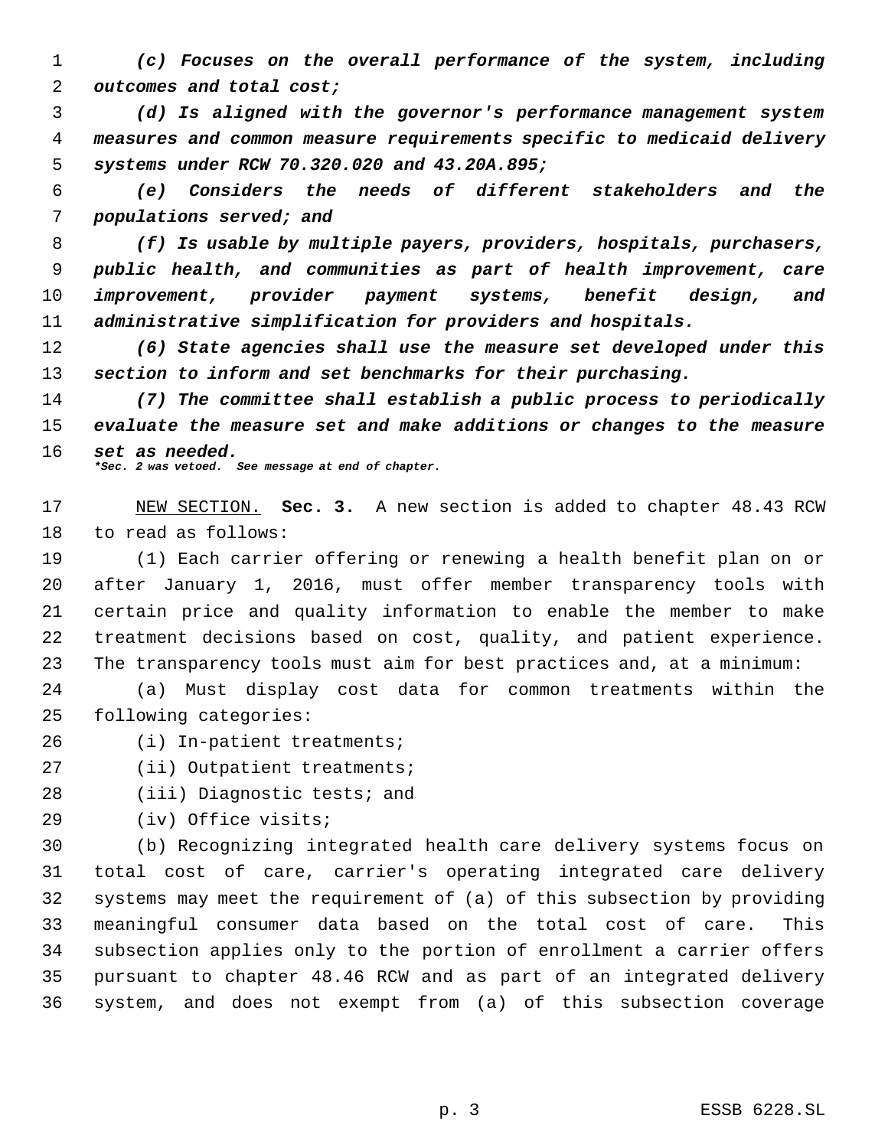*(c) Focuses on the overall performance of the system, including outcomes and total cost;*

 *(d) Is aligned with the governor's performance management system measures and common measure requirements specific to medicaid delivery systems under RCW 70.320.020 and 43.20A.895;*

 *(e) Considers the needs of different stakeholders and the populations served; and*

 *(f) Is usable by multiple payers, providers, hospitals, purchasers, public health, and communities as part of health improvement, care improvement, provider payment systems, benefit design, and administrative simplification for providers and hospitals.*

 *(6) State agencies shall use the measure set developed under this section to inform and set benchmarks for their purchasing.*

 *(7) The committee shall establish a public process to periodically evaluate the measure set and make additions or changes to the measure set as needed. \*Sec. 2 was vetoed. See message at end of chapter.*

 NEW SECTION. **Sec. 3.** A new section is added to chapter 48.43 RCW to read as follows:

 (1) Each carrier offering or renewing a health benefit plan on or after January 1, 2016, must offer member transparency tools with certain price and quality information to enable the member to make treatment decisions based on cost, quality, and patient experience. The transparency tools must aim for best practices and, at a minimum:

 (a) Must display cost data for common treatments within the following categories:

(i) In-patient treatments;

27 (ii) Outpatient treatments;

(iii) Diagnostic tests; and

(iv) Office visits;

 (b) Recognizing integrated health care delivery systems focus on total cost of care, carrier's operating integrated care delivery systems may meet the requirement of (a) of this subsection by providing meaningful consumer data based on the total cost of care. This subsection applies only to the portion of enrollment a carrier offers pursuant to chapter 48.46 RCW and as part of an integrated delivery system, and does not exempt from (a) of this subsection coverage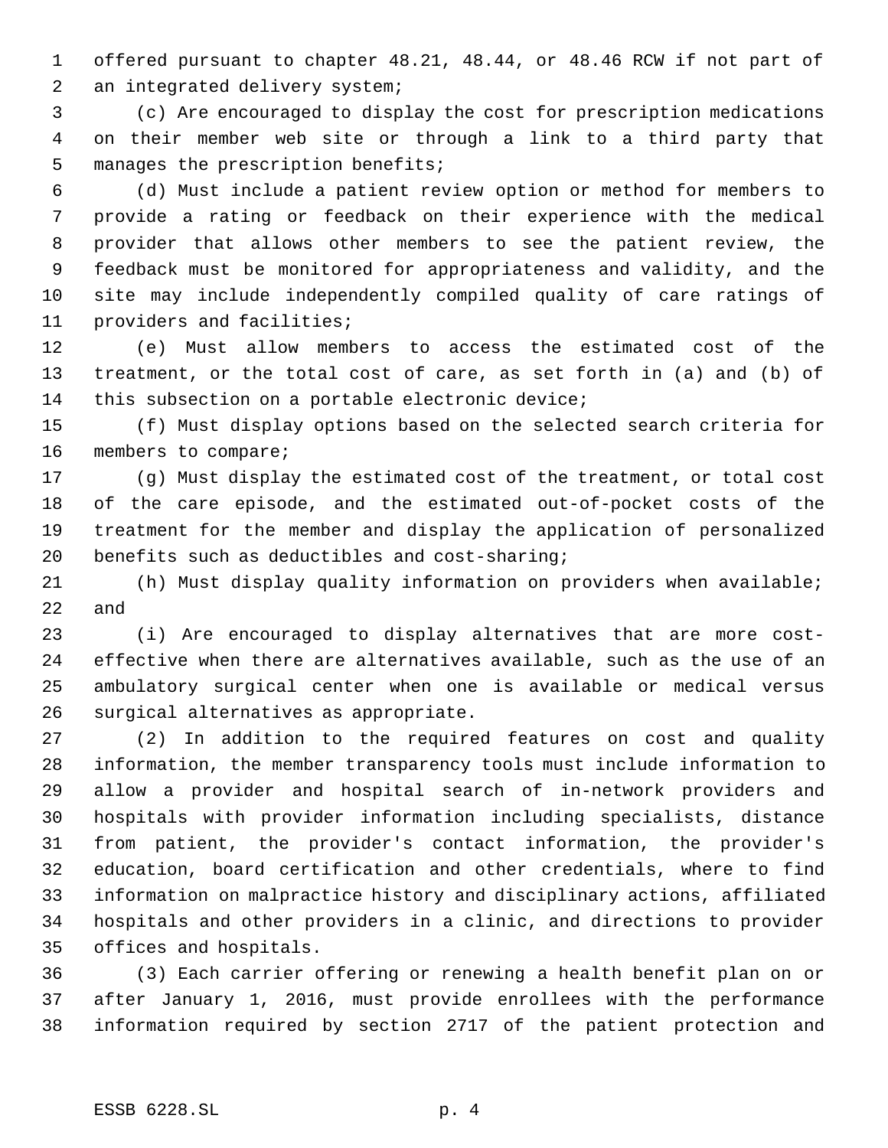offered pursuant to chapter 48.21, 48.44, or 48.46 RCW if not part of an integrated delivery system;

 (c) Are encouraged to display the cost for prescription medications on their member web site or through a link to a third party that manages the prescription benefits;

 (d) Must include a patient review option or method for members to provide a rating or feedback on their experience with the medical provider that allows other members to see the patient review, the feedback must be monitored for appropriateness and validity, and the site may include independently compiled quality of care ratings of providers and facilities;

 (e) Must allow members to access the estimated cost of the treatment, or the total cost of care, as set forth in (a) and (b) of this subsection on a portable electronic device;

 (f) Must display options based on the selected search criteria for members to compare;

 (g) Must display the estimated cost of the treatment, or total cost of the care episode, and the estimated out-of-pocket costs of the treatment for the member and display the application of personalized benefits such as deductibles and cost-sharing;

 (h) Must display quality information on providers when available; and

 (i) Are encouraged to display alternatives that are more cost- effective when there are alternatives available, such as the use of an ambulatory surgical center when one is available or medical versus surgical alternatives as appropriate.

 (2) In addition to the required features on cost and quality information, the member transparency tools must include information to allow a provider and hospital search of in-network providers and hospitals with provider information including specialists, distance from patient, the provider's contact information, the provider's education, board certification and other credentials, where to find information on malpractice history and disciplinary actions, affiliated hospitals and other providers in a clinic, and directions to provider offices and hospitals.

 (3) Each carrier offering or renewing a health benefit plan on or after January 1, 2016, must provide enrollees with the performance information required by section 2717 of the patient protection and